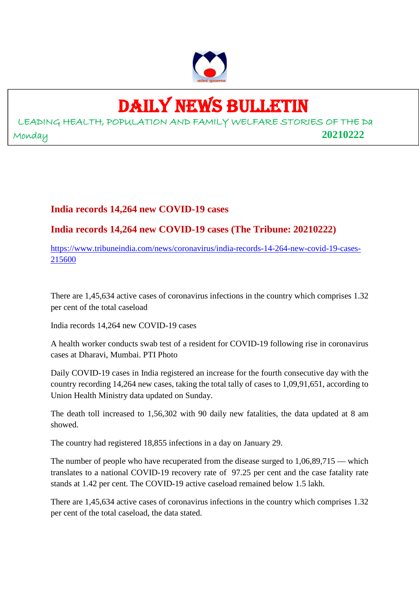

# DAILY NEWS BULLETIN

LEADING HEALTH, POPULATION AND FAMILY WELFARE STORIES OF THE Da Monday **20210222**

## **India records 14,264 new COVID-19 cases**

**India records 14,264 new COVID-19 cases (The Tribune: 20210222)**

https://www.tribuneindia.com/news/coronavirus/india-records-14-264-new-covid-19-cases-215600

There are 1,45,634 active cases of coronavirus infections in the country which comprises 1.32 per cent of the total caseload

India records 14,264 new COVID-19 cases

A health worker conducts swab test of a resident for COVID-19 following rise in coronavirus cases at Dharavi, Mumbai. PTI Photo

Daily COVID-19 cases in India registered an increase for the fourth consecutive day with the country recording 14,264 new cases, taking the total tally of cases to 1,09,91,651, according to Union Health Ministry data updated on Sunday.

The death toll increased to 1,56,302 with 90 daily new fatalities, the data updated at 8 am showed.

The country had registered 18,855 infections in a day on January 29.

The number of people who have recuperated from the disease surged to 1,06,89,715 — which translates to a national COVID-19 recovery rate of 97.25 per cent and the case fatality rate stands at 1.42 per cent. The COVID-19 active caseload remained below 1.5 lakh.

There are 1,45,634 active cases of coronavirus infections in the country which comprises 1.32 per cent of the total caseload, the data stated.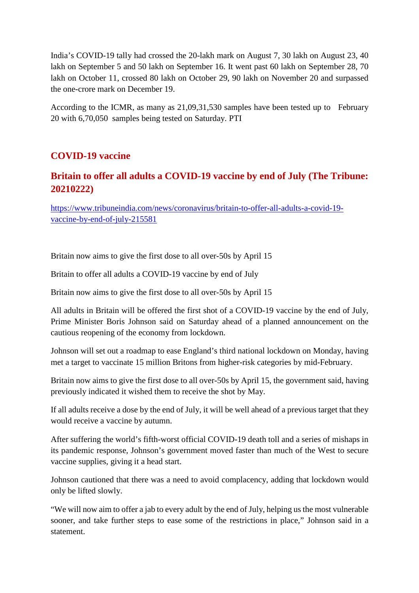India's COVID-19 tally had crossed the 20-lakh mark on August 7, 30 lakh on August 23, 40 lakh on September 5 and 50 lakh on September 16. It went past 60 lakh on September 28, 70 lakh on October 11, crossed 80 lakh on October 29, 90 lakh on November 20 and surpassed the one-crore mark on December 19.

According to the ICMR, as many as 21,09,31,530 samples have been tested up to February 20 with 6,70,050 samples being tested on Saturday. PTI

## **COVID-19 vaccine**

## **Britain to offer all adults a COVID-19 vaccine by end of July (The Tribune: 20210222)**

https://www.tribuneindia.com/news/coronavirus/britain-to-offer-all-adults-a-covid-19 vaccine-by-end-of-july-215581

Britain now aims to give the first dose to all over-50s by April 15

Britain to offer all adults a COVID-19 vaccine by end of July

Britain now aims to give the first dose to all over-50s by April 15

All adults in Britain will be offered the first shot of a COVID-19 vaccine by the end of July, Prime Minister Boris Johnson said on Saturday ahead of a planned announcement on the cautious reopening of the economy from lockdown.

Johnson will set out a roadmap to ease England's third national lockdown on Monday, having met a target to vaccinate 15 million Britons from higher-risk categories by mid-February.

Britain now aims to give the first dose to all over-50s by April 15, the government said, having previously indicated it wished them to receive the shot by May.

If all adults receive a dose by the end of July, it will be well ahead of a previous target that they would receive a vaccine by autumn.

After suffering the world's fifth-worst official COVID-19 death toll and a series of mishaps in its pandemic response, Johnson's government moved faster than much of the West to secure vaccine supplies, giving it a head start.

Johnson cautioned that there was a need to avoid complacency, adding that lockdown would only be lifted slowly.

"We will now aim to offer a jab to every adult by the end of July, helping us the most vulnerable sooner, and take further steps to ease some of the restrictions in place," Johnson said in a statement.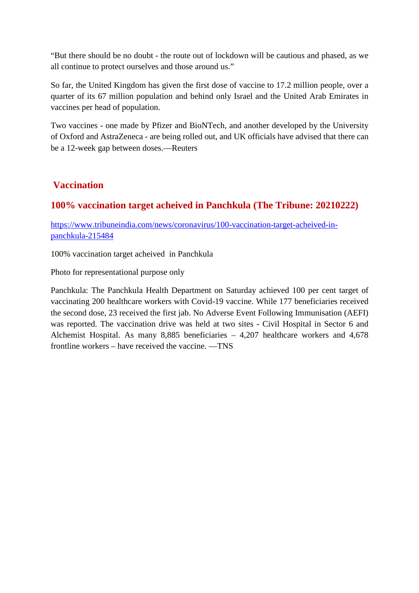"But there should be no doubt - the route out of lockdown will be cautious and phased, as we all continue to protect ourselves and those around us."

So far, the United Kingdom has given the first dose of vaccine to 17.2 million people, over a quarter of its 67 million population and behind only Israel and the United Arab Emirates in vaccines per head of population.

Two vaccines - one made by Pfizer and BioNTech, and another developed by the University of Oxford and AstraZeneca - are being rolled out, and UK officials have advised that there can be a 12-week gap between doses.—Reuters

## **Vaccination**

## **100% vaccination target acheived in Panchkula (The Tribune: 20210222)**

https://www.tribuneindia.com/news/coronavirus/100-vaccination-target-acheived-inpanchkula-215484

100% vaccination target acheived in Panchkula

Photo for representational purpose only

Panchkula: The Panchkula Health Department on Saturday achieved 100 per cent target of vaccinating 200 healthcare workers with Covid-19 vaccine. While 177 beneficiaries received the second dose, 23 received the first jab. No Adverse Event Following Immunisation (AEFI) was reported. The vaccination drive was held at two sites - Civil Hospital in Sector 6 and Alchemist Hospital. As many 8,885 beneficiaries – 4,207 healthcare workers and 4,678 frontline workers – have received the vaccine. —TNS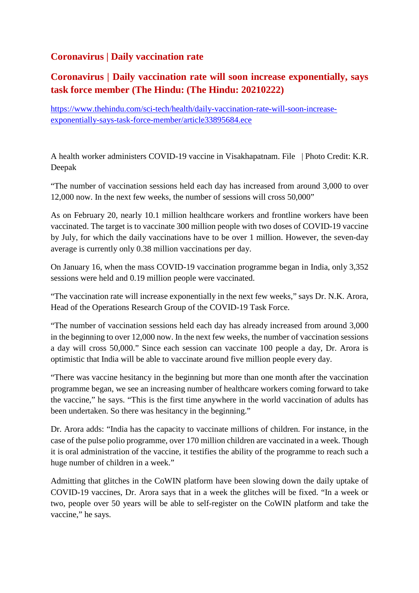## **Coronavirus | Daily vaccination rate**

# **Coronavirus | Daily vaccination rate will soon increase exponentially, says task force member (The Hindu: (The Hindu: 20210222)**

https://www.thehindu.com/sci-tech/health/daily-vaccination-rate-will-soon-increaseexponentially-says-task-force-member/article33895684.ece

A health worker administers COVID-19 vaccine in Visakhapatnam. File | Photo Credit: K.R. Deepak

"The number of vaccination sessions held each day has increased from around 3,000 to over 12,000 now. In the next few weeks, the number of sessions will cross 50,000"

As on February 20, nearly 10.1 million healthcare workers and frontline workers have been vaccinated. The target is to vaccinate 300 million people with two doses of COVID-19 vaccine by July, for which the daily vaccinations have to be over 1 million. However, the seven-day average is currently only 0.38 million vaccinations per day.

On January 16, when the mass COVID-19 vaccination programme began in India, only 3,352 sessions were held and 0.19 million people were vaccinated.

"The vaccination rate will increase exponentially in the next few weeks," says Dr. N.K. Arora, Head of the Operations Research Group of the COVID-19 Task Force.

"The number of vaccination sessions held each day has already increased from around 3,000 in the beginning to over 12,000 now. In the next few weeks, the number of vaccination sessions a day will cross 50,000." Since each session can vaccinate 100 people a day, Dr. Arora is optimistic that India will be able to vaccinate around five million people every day.

"There was vaccine hesitancy in the beginning but more than one month after the vaccination programme began, we see an increasing number of healthcare workers coming forward to take the vaccine," he says. "This is the first time anywhere in the world vaccination of adults has been undertaken. So there was hesitancy in the beginning."

Dr. Arora adds: "India has the capacity to vaccinate millions of children. For instance, in the case of the pulse polio programme, over 170 million children are vaccinated in a week. Though it is oral administration of the vaccine, it testifies the ability of the programme to reach such a huge number of children in a week."

Admitting that glitches in the CoWIN platform have been slowing down the daily uptake of COVID-19 vaccines, Dr. Arora says that in a week the glitches will be fixed. "In a week or two, people over 50 years will be able to self-register on the CoWIN platform and take the vaccine," he says.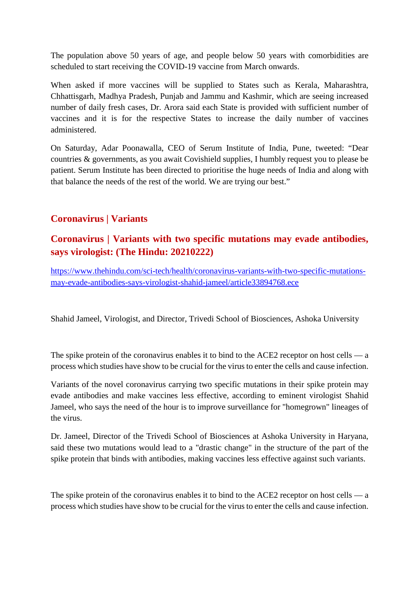The population above 50 years of age, and people below 50 years with comorbidities are scheduled to start receiving the COVID-19 vaccine from March onwards.

When asked if more vaccines will be supplied to States such as Kerala, Maharashtra, Chhattisgarh, Madhya Pradesh, Punjab and Jammu and Kashmir, which are seeing increased number of daily fresh cases, Dr. Arora said each State is provided with sufficient number of vaccines and it is for the respective States to increase the daily number of vaccines administered.

On Saturday, Adar Poonawalla, CEO of Serum Institute of India, Pune, tweeted: "Dear countries & governments, as you await Covishield supplies, I humbly request you to please be patient. Serum Institute has been directed to prioritise the huge needs of India and along with that balance the needs of the rest of the world. We are trying our best."

## **Coronavirus | Variants**

## **Coronavirus | Variants with two specific mutations may evade antibodies, says virologist: (The Hindu: 20210222)**

https://www.thehindu.com/sci-tech/health/coronavirus-variants-with-two-specific-mutationsmay-evade-antibodies-says-virologist-shahid-jameel/article33894768.ece

Shahid Jameel, Virologist, and Director, Trivedi School of Biosciences, Ashoka University

The spike protein of the coronavirus enables it to bind to the ACE2 receptor on host cells — a process which studies have show to be crucial for the virus to enter the cells and cause infection.

Variants of the novel coronavirus carrying two specific mutations in their spike protein may evade antibodies and make vaccines less effective, according to eminent virologist Shahid Jameel, who says the need of the hour is to improve surveillance for "homegrown" lineages of the virus.

Dr. Jameel, Director of the Trivedi School of Biosciences at Ashoka University in Haryana, said these two mutations would lead to a "drastic change" in the structure of the part of the spike protein that binds with antibodies, making vaccines less effective against such variants.

The spike protein of the coronavirus enables it to bind to the ACE2 receptor on host cells — a process which studies have show to be crucial for the virus to enter the cells and cause infection.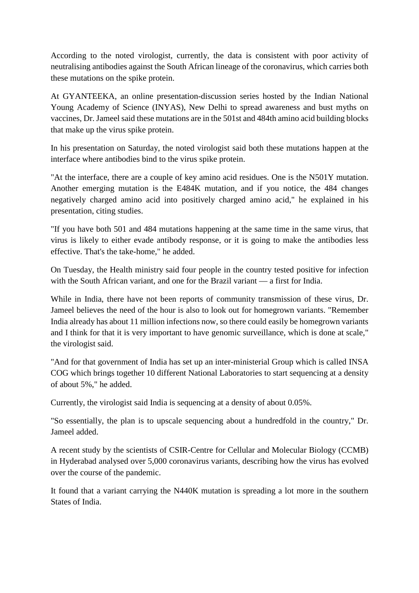According to the noted virologist, currently, the data is consistent with poor activity of neutralising antibodies against the South African lineage of the coronavirus, which carries both these mutations on the spike protein.

At GYANTEEKA, an online presentation-discussion series hosted by the Indian National Young Academy of Science (INYAS), New Delhi to spread awareness and bust myths on vaccines, Dr. Jameel said these mutations are in the 501st and 484th amino acid building blocks that make up the virus spike protein.

In his presentation on Saturday, the noted virologist said both these mutations happen at the interface where antibodies bind to the virus spike protein.

"At the interface, there are a couple of key amino acid residues. One is the N501Y mutation. Another emerging mutation is the E484K mutation, and if you notice, the 484 changes negatively charged amino acid into positively charged amino acid," he explained in his presentation, citing studies.

"If you have both 501 and 484 mutations happening at the same time in the same virus, that virus is likely to either evade antibody response, or it is going to make the antibodies less effective. That's the take-home," he added.

On Tuesday, the Health ministry said four people in the country tested positive for infection with the South African variant, and one for the Brazil variant — a first for India.

While in India, there have not been reports of community transmission of these virus, Dr. Jameel believes the need of the hour is also to look out for homegrown variants. "Remember India already has about 11 million infections now, so there could easily be homegrown variants and I think for that it is very important to have genomic surveillance, which is done at scale," the virologist said.

"And for that government of India has set up an inter-ministerial Group which is called INSA COG which brings together 10 different National Laboratories to start sequencing at a density of about 5%," he added.

Currently, the virologist said India is sequencing at a density of about 0.05%.

"So essentially, the plan is to upscale sequencing about a hundredfold in the country," Dr. Jameel added.

A recent study by the scientists of CSIR-Centre for Cellular and Molecular Biology (CCMB) in Hyderabad analysed over 5,000 coronavirus variants, describing how the virus has evolved over the course of the pandemic.

It found that a variant carrying the N440K mutation is spreading a lot more in the southern States of India.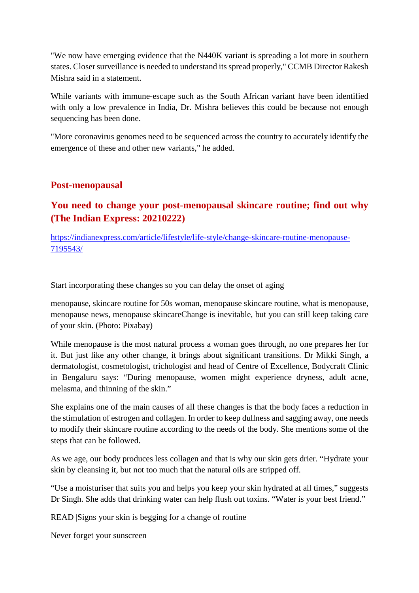"We now have emerging evidence that the N440K variant is spreading a lot more in southern states. Closer surveillance is needed to understand its spread properly," CCMB Director Rakesh Mishra said in a statement.

While variants with immune-escape such as the South African variant have been identified with only a low prevalence in India, Dr. Mishra believes this could be because not enough sequencing has been done.

"More coronavirus genomes need to be sequenced across the country to accurately identify the emergence of these and other new variants," he added.

## **Post-menopausal**

## **You need to change your post-menopausal skincare routine; find out why (The Indian Express: 20210222)**

https://indianexpress.com/article/lifestyle/life-style/change-skincare-routine-menopause-7195543/

Start incorporating these changes so you can delay the onset of aging

menopause, skincare routine for 50s woman, menopause skincare routine, what is menopause, menopause news, menopause skincareChange is inevitable, but you can still keep taking care of your skin. (Photo: Pixabay)

While menopause is the most natural process a woman goes through, no one prepares her for it. But just like any other change, it brings about significant transitions. Dr Mikki Singh, a dermatologist, cosmetologist, trichologist and head of Centre of Excellence, Bodycraft Clinic in Bengaluru says: "During menopause, women might experience dryness, adult acne, melasma, and thinning of the skin."

She explains one of the main causes of all these changes is that the body faces a reduction in the stimulation of estrogen and collagen. In order to keep dullness and sagging away, one needs to modify their skincare routine according to the needs of the body. She mentions some of the steps that can be followed.

As we age, our body produces less collagen and that is why our skin gets drier. "Hydrate your skin by cleansing it, but not too much that the natural oils are stripped off.

"Use a moisturiser that suits you and helps you keep your skin hydrated at all times," suggests Dr Singh. She adds that drinking water can help flush out toxins. "Water is your best friend."

READ |Signs your skin is begging for a change of routine

Never forget your sunscreen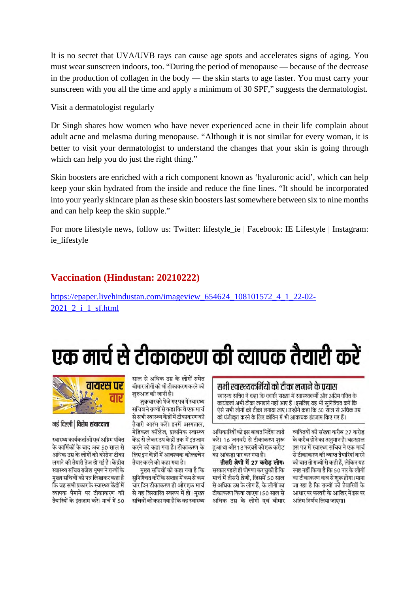It is no secret that UVA/UVB rays can cause age spots and accelerates signs of aging. You must wear sunscreen indoors, too. "During the period of menopause — because of the decrease in the production of collagen in the body — the skin starts to age faster. You must carry your sunscreen with you all the time and apply a minimum of 30 SPF," suggests the dermatologist.

Visit a dermatologist regularly

Dr Singh shares how women who have never experienced acne in their life complain about adult acne and melasma during menopause. "Although it is not similar for every woman, it is better to visit your dermatologist to understand the changes that your skin is going through which can help you do just the right thing."

Skin boosters are enriched with a rich component known as 'hyaluronic acid', which can help keep your skin hydrated from the inside and reduce the fine lines. "It should be incorporated into your yearly skincare plan as these skin boosters last somewhere between six to nine months and can help keep the skin supple."

For more lifestyle news, follow us: Twitter: lifestyle ie | Facebook: IE Lifestyle | Instagram: ie lifestyle

### **Vaccination (Hindustan: 20210222)**

https://epaper.livehindustan.com/imageview\_654624\_108101572\_4\_1\_22-02- 2021\_2\_i\_1\_sf.html

से सभी स्वास्थ्य केंद्रों में टीकाकरण की

तैयारी आरंभ करें। इनमें अस्पताल. .<br>मेडिकल कॉलेज, प्राथमिक स्वास्थ्य

केंद्र से लेकर उप केदों तक में इंतजाम

करने को कहा गया है। टीकाकरण के

लिए इन केंद्रों में आवश्यक कोल्डचेन

सुनिश्चित करेंकि सप्ताह में कम से कम

्<br>चार दिन टीकाकरण हो और एक मार्च

.<br>से यह विस्तारित स्वरूप में हो। मुख्य

सचिवों को कहा गया है कि वह स्वास्थ्य

मख्य सचिवों को कहा गया है कि

तैयार करने को कहा गया है।

# एक मार्च से टीकाकरण की व्यापक तैयारी करें

### सभी स्वास्थ्यकर्मियों को टीका लगाने के प्रयास

स्वास्थ्य सचिव ने कहा कि काफी संख्या में स्वास्थ्यकर्मी और अग्रिम पंक्ति के कार्यकर्ता अभी टीका लगवाने नहीं आए हैं। इसलिए यह भी सुनिश्चित करें कि ऐसे सभी लोगों को टीका लगाया जाए। उन्होंने कहा कि 50 साल से अधिक उम्र को पंजीकृत करने के लिए कोविन में भी आवश्यक इंतजाम किए गए हैं।

अधिकारियों को इस बाबत निर्देश जारी करें। 16 जनवरी से टीकाकरण शरू हुआ था और 18 फरवरी को एक करोड का आंकडा पार कर गया है।

तीसरी श्रेणी में 27 करोड़ लोगः सरकार पहले ही घोषणा कर चकी है कि मार्च में तीसरी श्रेणी, जिसमें 50 साल से अधिक उम्र के लोग हैं, के लोगों का टीकाकरण किया जाएगा। 50 साल से अधिक उम्र के लोगों एवं बीमार

व्यक्तियों की संख्या करीब 27 करोड .<br>के करीब होने का अनुमान है। बहरहाल इस पत्र में स्वास्थ्य सचिव ने एक मार्च .<br>से टीकाकरण की व्याप्त तैयारियां करने की बात तो राज्यों से कही हैं, लेकिन यह स्पष्ट नहीं किया है कि 50 पार के लोगों का टीकाकरण कब से शुरू होगा। माना जा रहा है कि राज्यों को तैयारियों के आधार पर फरवरी के आखिर में इस पर अंतिम निर्णय लिया जाएगा।



#### नई दिल्ली | विशेष संवाददाता

स्वास्थ्य कार्यकर्ताओं एवं अग्रिम पंक्ति के कार्मिकों के बाद अब 50 साल से अधिक उम्र के लोगों को कोरोना टीका लगाने की तैयारी तेज हो गई है। केंद्रीय स्वास्थ्य सचिव राजेश भूषण ने राज्यों के मुख्य सचिवों को पत्र लिखकर कहा है कि वह सभी प्रकार के स्वास्थ्य केंद्रों में व्यापक पैमाने पर टीकाकरण की तैयारियों के इंतजाम करें। मार्च में 50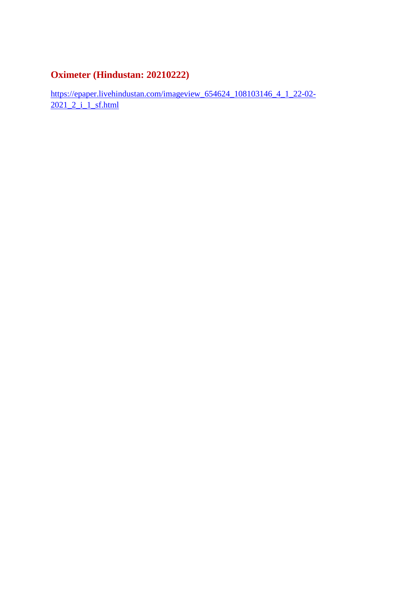# **Oximeter (Hindustan: 20210222)**

https://epaper.livehindustan.com/imageview\_654624\_108103146\_4\_1\_22-02- 2021\_2\_i\_1\_sf.html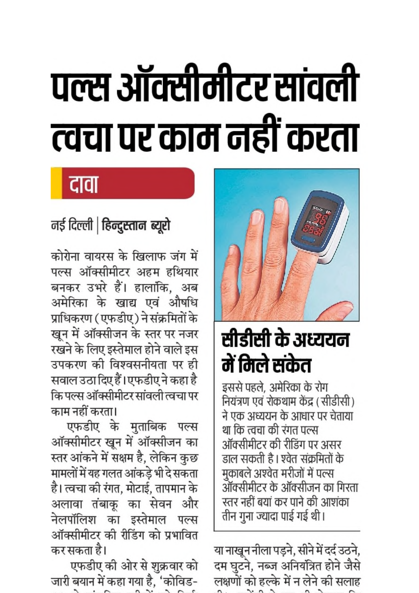# पल्स ऑक्सीमीटर सांवली त्वचा पर काम नहीं करता

# दावा

# नई दिल्ली | हिन्दुस्तान ब्यूरो

कोरोना वायरस के खिलाफ जंग में पल्स ऑक्सीमीटर अहम हथियार बनकर उभरे हैं। हालांकि, अब अमेरिका के खाद्य एवं औषधि प्राधिकरण (एफडीए) ने संक्रमितों के खून में ऑक्सीजन के स्तर पर नजर रखने के लिए इस्तेमाल होने वाले इस उपकरण की विश्वसनीयता पर ही सवाल उठा दिए हैं।एफडीए ने कहा है कि पल्स ऑक्सीमीटर सांवली त्वचा पर काम नहीं करता।

एफडीए के मुताबिक पल्स ऑक्सीमीटर खून में ऑक्सीजन का स्तर आंकने में सक्षम है, लेकिन कुछ मामलों में यह गलत आंकडे भी दे सकता है। त्वचा की रंगत, मोटाई, तापमान के अलावा तंबाकू का सेवन और नेलपॉलिश का इस्तेमाल पल्स ऑक्सीमीटर की रीडिंग को प्रभावित कर सकता है।

एफडीए की ओर से शुक्रवार को जारी बयान में कहा गया है, 'कोविड-



# सीडीसी के अध्ययन में मिले संकेत

इससे पहले, अमेरिका के रोग नियंत्रण एवं रोकथाम केंद्र (सीडीसी) ने एक अध्ययन के आधार पर चेताया था कि त्वचा की रंगत पल्स ऑक्सीमीटर की रीडिंग पर असर डाल सकती है। श्वेत संक्रमितों के मुकाबले अश्वेत मरीजों में पल्स ऑक्सीमीटर के ऑक्सीजन का गिरता स्तर नहीं बयां कर पाने की आशंका तीन गुना ज्यादा पाई गई थी।

या नाखून नीला पड़ने, सीने में दर्द उठने, दम घुटने, नब्ज अनियंत्रित होने जैसे लक्षणों को हल्के में न लेने की सलाह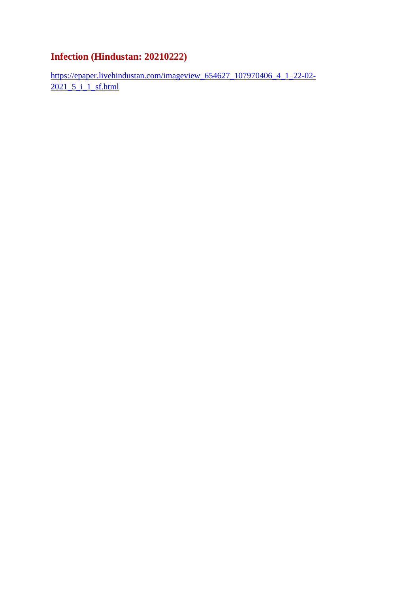# **Infection (Hindustan: 20210222)**

https://epaper.livehindustan.com/imageview\_654627\_107970406\_4\_1\_22-02- 2021 5 i 1 sf.html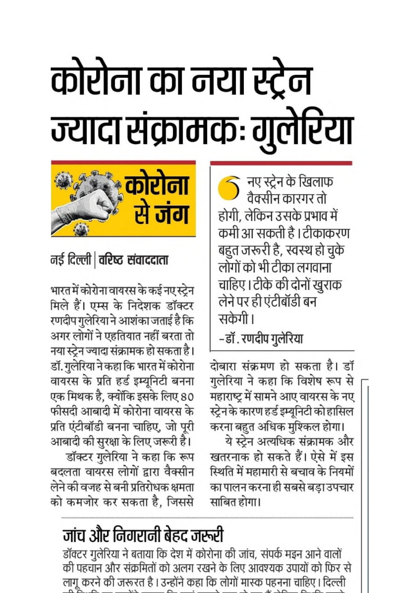# कोरोना का नया स्ट्रेन ज्यादा संक्रामकः गुलेरिया

नए स्ट्रेन के खिलाफ<br>वैक्सीन कारगर तो होगी, लेकिन उसके प्रभाव में कमी आ सकती है । टीकाकरण बहुत जरूरी है, स्वस्थ हो चुके लोगों को भी टीका लगवाना चाहिए। टीके की दोनों खुराक लेने पर ही एंटीबॉडी बन सकेगी।

–डॉ . रणदीप गुलेरिया

दोबारा संक्रमण हो सकता है। डॉ गुलेरिया ने कहा कि विशेष रूप से महाराष्ट्र में सामने आए वायरस के नए स्ट्रेन के कारण हर्ड इम्यूनिटी को हासिल करना बहुत अधिक मुश्किल होगा। ये स्ट्रेन अत्यधिक संक्रामक और खतरनाक हो सकते हैं। ऐसे में इस स्थिति में महामारी से बचाव के नियमों का पालन करना ही सबसे बड़ा उपचार साबित होगा।



# नई दिल्ली | वरिष्ट संवाददाता

भारत में कोरोना वायरस के कई नए स्ट्रेन मिले हैं। एम्स के निदेशक डॉक्टर रणदीप गुलेरिया ने आशंका जताई है कि अगर लोगों ने एहतियात नहीं बरता तो नया स्ट्रेन ज्यादा संक्रामक हो सकता है। डॉ. गुलेरिया ने कहा कि भारत में कोरोना वायरस के प्रति हर्ड इम्यूनिटी बनना एक मिथक है, क्योंकि इसके लिए 80 फीसदी आबादी में कोरोना वायरस के प्रति एंटीबॉडी बनना चाहिए, जो पूरी आबादी की सुरक्षा के लिए जरूरी है।

डॉक्टर गुलेरिया ने कहा कि रूप बदलता वायरस लोगों द्वारा वैक्सीन लेने की वजह से बनी प्रतिरोधक क्षमता को कमजोर कर सकता है, जिससे

# जांच और निगरानी बेहद जरूरी

डॉक्टर गुलेरिया ने बताया कि देश में कोरोना की जांच, संपर्क मइन आने वालों की पहचान और संक्रमितों को अलग रखने के लिए आवश्यक उपायों को फिर से लागू करने की जरूरत है । उन्होंने कहा कि लोगों मास्क पहनना चाहिए । दिल्ली